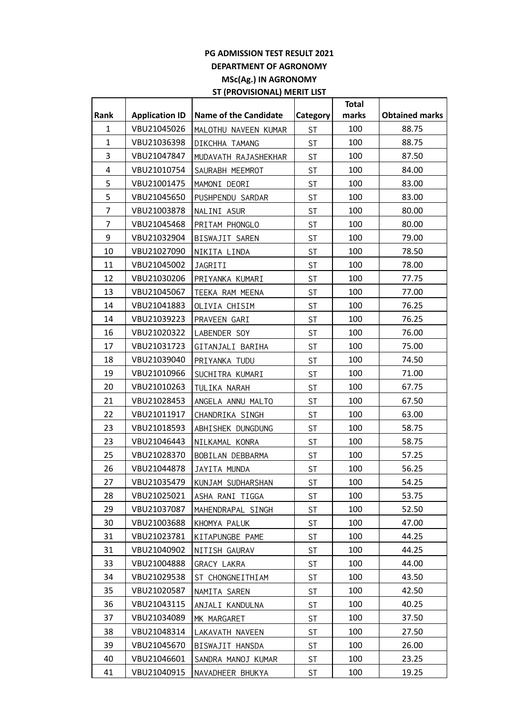## **PG ADMISSION TEST RESULT 2021 DEPARTMENT OF AGRONOMY MSc(Ag.) IN AGRONOMY ST (PROVISIONAL) MERIT LIST**

| Rank           | <b>Application ID</b> | <b>Name of the Candidate</b> | <b>Category</b> | <b>Total</b><br>marks | <b>Obtained marks</b> |
|----------------|-----------------------|------------------------------|-----------------|-----------------------|-----------------------|
| $\mathbf{1}$   | VBU21045026           | MALOTHU NAVEEN KUMAR         | <b>ST</b>       | 100                   | 88.75                 |
| $\mathbf{1}$   | VBU21036398           | DIKCHHA TAMANG               | <b>ST</b>       | 100                   | 88.75                 |
| 3              | VBU21047847           |                              | <b>ST</b>       | 100                   | 87.50                 |
| $\overline{4}$ | VBU21010754           | MUDAVATH RAJASHEKHAR         |                 | 100                   |                       |
| 5              | VBU21001475           | SAURABH MEEMROT              | ST              | 100                   | 84.00                 |
| 5              |                       | MAMONI DEORI                 | <b>ST</b>       |                       | 83.00                 |
|                | VBU21045650           | PUSHPENDU SARDAR             | <b>ST</b>       | 100                   | 83.00                 |
| 7              | VBU21003878           | NALINI ASUR                  | <b>ST</b>       | 100                   | 80.00                 |
| 7              | VBU21045468           | PRITAM PHONGLO               | <b>ST</b>       | 100                   | 80.00                 |
| 9              | VBU21032904           | BISWAJIT SAREN               | <b>ST</b>       | 100                   | 79.00                 |
| 10             | VBU21027090           | NIKITA LINDA                 | <b>ST</b>       | 100                   | 78.50                 |
| 11             | VBU21045002           | JAGRITI                      | <b>ST</b>       | 100                   | 78.00                 |
| 12             | VBU21030206           | PRIYANKA KUMARI              | <b>ST</b>       | 100                   | 77.75                 |
| 13             | VBU21045067           | TEEKA RAM MEENA              | <b>ST</b>       | 100                   | 77.00                 |
| 14             | VBU21041883           | OLIVIA CHISIM                | <b>ST</b>       | 100                   | 76.25                 |
| 14             | VBU21039223           | PRAVEEN GARI                 | <b>ST</b>       | 100                   | 76.25                 |
| 16             | VBU21020322           | LABENDER SOY                 | <b>ST</b>       | 100                   | 76.00                 |
| 17             | VBU21031723           | GITANJALI BARIHA             | <b>ST</b>       | 100                   | 75.00                 |
| 18             | VBU21039040           | PRIYANKA TUDU                | <b>ST</b>       | 100                   | 74.50                 |
| 19             | VBU21010966           | SUCHITRA KUMARI              | <b>ST</b>       | 100                   | 71.00                 |
| 20             | VBU21010263           | TULIKA NARAH                 | <b>ST</b>       | 100                   | 67.75                 |
| 21             | VBU21028453           | ANGELA ANNU MALTO            | <b>ST</b>       | 100                   | 67.50                 |
| 22             | VBU21011917           | CHANDRIKA SINGH              | <b>ST</b>       | 100                   | 63.00                 |
| 23             | VBU21018593           | ABHISHEK DUNGDUNG            | <b>ST</b>       | 100                   | 58.75                 |
| 23             | VBU21046443           | NILKAMAL KONRA               | <b>ST</b>       | 100                   | 58.75                 |
| 25             | VBU21028370           | BOBILAN DEBBARMA             | <b>ST</b>       | 100                   | 57.25                 |
| 26             | VBU21044878           | JAYITA MUNDA                 | <b>ST</b>       | 100                   | 56.25                 |
| 27             | VBU21035479           | KUNJAM SUDHARSHAN            | ST              | 100                   | 54.25                 |
| 28             | VBU21025021           | ASHA RANI TIGGA              | <b>ST</b>       | 100                   | 53.75                 |
| 29             | VBU21037087           | MAHENDRAPAL SINGH            | <b>ST</b>       | 100                   | 52.50                 |
| 30             | VBU21003688           | KHOMYA PALUK                 | <b>ST</b>       | 100                   | 47.00                 |
| 31             | VBU21023781           | KITAPUNGBE PAME              | ST              | 100                   | 44.25                 |
| 31             | VBU21040902           | NITISH GAURAV                | <b>ST</b>       | 100                   | 44.25                 |
| 33             | VBU21004888           | GRACY LAKRA                  | <b>ST</b>       | 100                   | 44.00                 |
| 34             | VBU21029538           | ST CHONGNEITHIAM             | <b>ST</b>       | 100                   | 43.50                 |
| 35             | VBU21020587           | NAMITA SAREN                 | <b>ST</b>       | 100                   | 42.50                 |
| 36             | VBU21043115           | ANJALI KANDULNA              | <b>ST</b>       | 100                   | 40.25                 |
| 37             | VBU21034089           | MK MARGARET                  | <b>ST</b>       | 100                   | 37.50                 |
| 38             | VBU21048314           | LAKAVATH NAVEEN              | <b>ST</b>       | 100                   | 27.50                 |
| 39             | VBU21045670           | BISWAJIT HANSDA              | ST              | 100                   | 26.00                 |
| 40             | VBU21046601           | SANDRA MANOJ KUMAR           | <b>ST</b>       | 100                   | 23.25                 |
| 41             | VBU21040915           | NAVADHEER BHUKYA             | <b>ST</b>       | 100                   | 19.25                 |